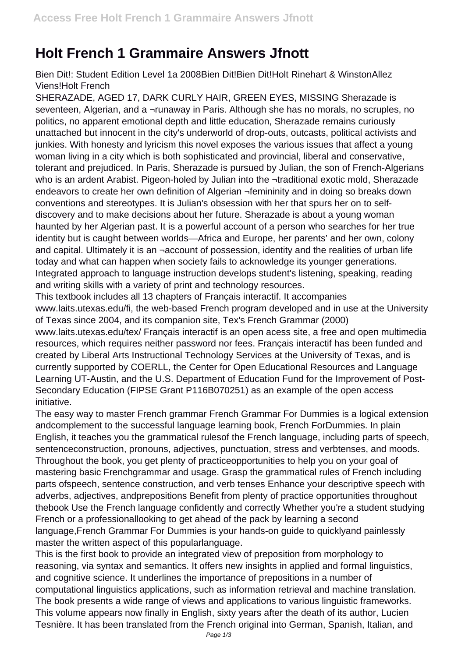## **Holt French 1 Grammaire Answers Jfnott**

Bien Dit!: Student Edition Level 1a 2008Bien Dit!Bien Dit!Holt Rinehart & WinstonAllez Viens!Holt French

SHERAZADE, AGED 17, DARK CURLY HAIR, GREEN EYES, MISSING Sherazade is seventeen, Algerian, and a ¬runaway in Paris. Although she has no morals, no scruples, no politics, no apparent emotional depth and little education, Sherazade remains curiously unattached but innocent in the city's underworld of drop-outs, outcasts, political activists and junkies. With honesty and lyricism this novel exposes the various issues that affect a young woman living in a city which is both sophisticated and provincial, liberal and conservative, tolerant and prejudiced. In Paris, Sherazade is pursued by Julian, the son of French-Algerians who is an ardent Arabist. Pigeon-holed by Julian into the ¬traditional exotic mold, Sherazade endeavors to create her own definition of Algerian ¬femininity and in doing so breaks down conventions and stereotypes. It is Julian's obsession with her that spurs her on to selfdiscovery and to make decisions about her future. Sherazade is about a young woman haunted by her Algerian past. It is a powerful account of a person who searches for her true identity but is caught between worlds—Africa and Europe, her parents' and her own, colony and capital. Ultimately it is an ¬account of possession, identity and the realities of urban life today and what can happen when society fails to acknowledge its younger generations. Integrated approach to language instruction develops student's listening, speaking, reading and writing skills with a variety of print and technology resources.

This textbook includes all 13 chapters of Français interactif. It accompanies www.laits.utexas.edu/fi, the web-based French program developed and in use at the University of Texas since 2004, and its companion site, Tex's French Grammar (2000)

www.laits.utexas.edu/tex/ Français interactif is an open acess site, a free and open multimedia resources, which requires neither password nor fees. Français interactif has been funded and created by Liberal Arts Instructional Technology Services at the University of Texas, and is currently supported by COERLL, the Center for Open Educational Resources and Language Learning UT-Austin, and the U.S. Department of Education Fund for the Improvement of Post-Secondary Education (FIPSE Grant P116B070251) as an example of the open access initiative.

The easy way to master French grammar French Grammar For Dummies is a logical extension andcomplement to the successful language learning book, French ForDummies. In plain English, it teaches you the grammatical rulesof the French language, including parts of speech, sentenceconstruction, pronouns, adjectives, punctuation, stress and verbtenses, and moods. Throughout the book, you get plenty of practiceopportunities to help you on your goal of mastering basic Frenchgrammar and usage. Grasp the grammatical rules of French including parts ofspeech, sentence construction, and verb tenses Enhance your descriptive speech with adverbs, adjectives, andprepositions Benefit from plenty of practice opportunities throughout thebook Use the French language confidently and correctly Whether you're a student studying French or a professionallooking to get ahead of the pack by learning a second language,French Grammar For Dummies is your hands-on guide to quicklyand painlessly master the written aspect of this popularlanguage.

This is the first book to provide an integrated view of preposition from morphology to reasoning, via syntax and semantics. It offers new insights in applied and formal linguistics, and cognitive science. It underlines the importance of prepositions in a number of computational linguistics applications, such as information retrieval and machine translation. The book presents a wide range of views and applications to various linguistic frameworks. This volume appears now finally in English, sixty years after the death of its author, Lucien Tesnière. It has been translated from the French original into German, Spanish, Italian, and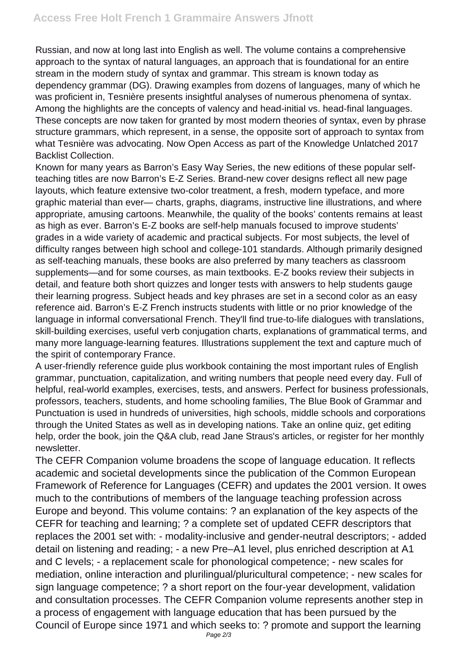Russian, and now at long last into English as well. The volume contains a comprehensive approach to the syntax of natural languages, an approach that is foundational for an entire stream in the modern study of syntax and grammar. This stream is known today as dependency grammar (DG). Drawing examples from dozens of languages, many of which he was proficient in, Tesnière presents insightful analyses of numerous phenomena of syntax. Among the highlights are the concepts of valency and head-initial vs. head-final languages. These concepts are now taken for granted by most modern theories of syntax, even by phrase structure grammars, which represent, in a sense, the opposite sort of approach to syntax from what Tesnière was advocating. Now Open Access as part of the Knowledge Unlatched 2017 Backlist Collection.

Known for many years as Barron's Easy Way Series, the new editions of these popular selfteaching titles are now Barron's E-Z Series. Brand-new cover designs reflect all new page layouts, which feature extensive two-color treatment, a fresh, modern typeface, and more graphic material than ever— charts, graphs, diagrams, instructive line illustrations, and where appropriate, amusing cartoons. Meanwhile, the quality of the books' contents remains at least as high as ever. Barron's E-Z books are self-help manuals focused to improve students' grades in a wide variety of academic and practical subjects. For most subjects, the level of difficulty ranges between high school and college-101 standards. Although primarily designed as self-teaching manuals, these books are also preferred by many teachers as classroom supplements—and for some courses, as main textbooks. E-Z books review their subjects in detail, and feature both short quizzes and longer tests with answers to help students gauge their learning progress. Subject heads and key phrases are set in a second color as an easy reference aid. Barron's E-Z French instructs students with little or no prior knowledge of the language in informal conversational French. They'll find true-to-life dialogues with translations, skill-building exercises, useful verb conjugation charts, explanations of grammatical terms, and many more language-learning features. Illustrations supplement the text and capture much of the spirit of contemporary France.

A user-friendly reference guide plus workbook containing the most important rules of English grammar, punctuation, capitalization, and writing numbers that people need every day. Full of helpful, real-world examples, exercises, tests, and answers. Perfect for business professionals, professors, teachers, students, and home schooling families, The Blue Book of Grammar and Punctuation is used in hundreds of universities, high schools, middle schools and corporations through the United States as well as in developing nations. Take an online quiz, get editing help, order the book, join the Q&A club, read Jane Straus's articles, or register for her monthly newsletter.

The CEFR Companion volume broadens the scope of language education. It reflects academic and societal developments since the publication of the Common European Framework of Reference for Languages (CEFR) and updates the 2001 version. It owes much to the contributions of members of the language teaching profession across Europe and beyond. This volume contains: ? an explanation of the key aspects of the CEFR for teaching and learning; ? a complete set of updated CEFR descriptors that replaces the 2001 set with: - modality-inclusive and gender-neutral descriptors; - added detail on listening and reading; - a new Pre–A1 level, plus enriched description at A1 and C levels; - a replacement scale for phonological competence; - new scales for mediation, online interaction and plurilingual/pluricultural competence; - new scales for sign language competence; ? a short report on the four-year development, validation and consultation processes. The CEFR Companion volume represents another step in a process of engagement with language education that has been pursued by the Council of Europe since 1971 and which seeks to: ? promote and support the learning